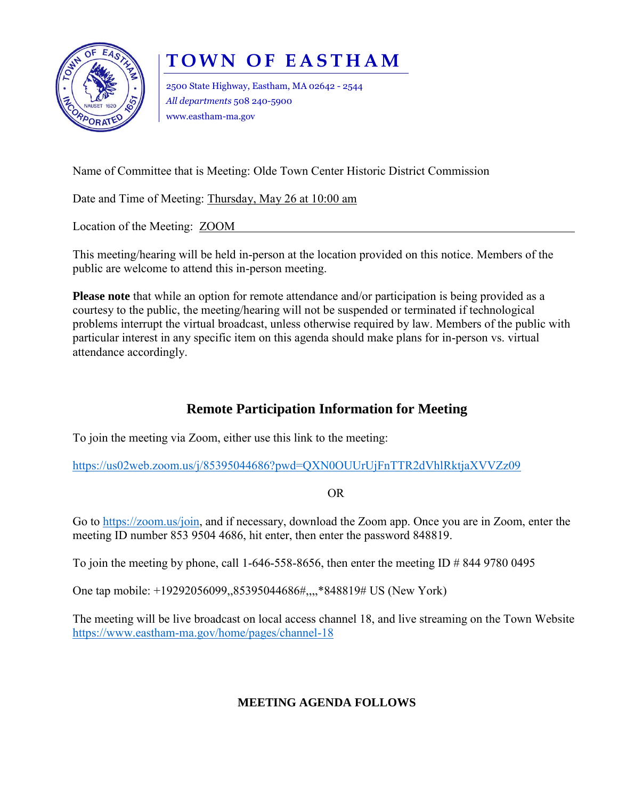

## **TOWN OF EASTHAM**

2500 State Highway, Eastham, MA 02642 - 2544 *All departments* 508 240-5900 www.eastham-ma.gov

Name of Committee that is Meeting: Olde Town Center Historic District Commission

Date and Time of Meeting: Thursday, May 26 at 10:00 am

Location of the Meeting: ZOOM

This meeting/hearing will be held in-person at the location provided on this notice. Members of the public are welcome to attend this in-person meeting.

**Please note** that while an option for remote attendance and/or participation is being provided as a courtesy to the public, the meeting/hearing will not be suspended or terminated if technological problems interrupt the virtual broadcast, unless otherwise required by law. Members of the public with particular interest in any specific item on this agenda should make plans for in-person vs. virtual attendance accordingly.

## **Remote Participation Information for Meeting**

To join the meeting via Zoom, either use this link to the meeting:

<https://us02web.zoom.us/j/85395044686?pwd=QXN0OUUrUjFnTTR2dVhlRktjaXVVZz09>

OR

Go to [https://zoom.us/join,](https://zoom.us/join) and if necessary, download the Zoom app. Once you are in Zoom, enter the meeting ID number 853 9504 4686, hit enter, then enter the password 848819.

To join the meeting by phone, call 1-646-558-8656, then enter the meeting ID  $\#$  844 9780 0495

One tap mobile: +19292056099,,85395044686#,,,,\*848819# US (New York)

The meeting will be live broadcast on local access channel 18, and live streaming on the Town Website <https://www.eastham-ma.gov/home/pages/channel-18>

## **MEETING AGENDA FOLLOWS**